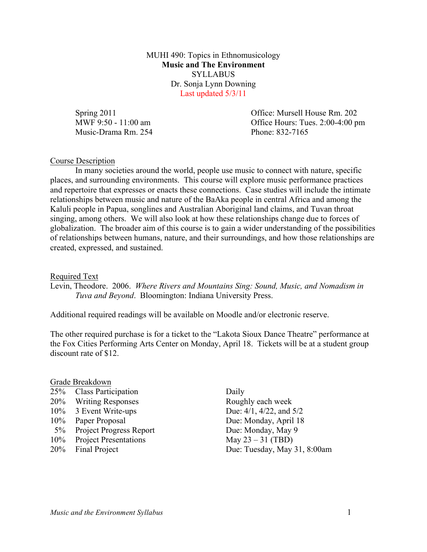MUHI 490: Topics in Ethnomusicology **Music and The Environment** SYLLABUS Dr. Sonja Lynn Downing Last updated 5/3/11

Music-Drama Rm. 254 Phone: 832-7165

Spring 2011 **Contract Contract Contract Contract Contract Contract Contract Contract Contract Contract Contract Contract Contract Contract Contract Contract Contract Contract Contract Contract Contract Contract Contract Co** MWF 9:50 - 11:00 am Office Hours: Tues. 2:00-4:00 pm

## Course Description

In many societies around the world, people use music to connect with nature, specific places, and surrounding environments. This course will explore music performance practices and repertoire that expresses or enacts these connections. Case studies will include the intimate relationships between music and nature of the BaAka people in central Africa and among the Kaluli people in Papua, songlines and Australian Aboriginal land claims, and Tuvan throat singing, among others. We will also look at how these relationships change due to forces of globalization. The broader aim of this course is to gain a wider understanding of the possibilities of relationships between humans, nature, and their surroundings, and how those relationships are created, expressed, and sustained.

#### Required Text

Levin, Theodore. 2006. *Where Rivers and Mountains Sing: Sound, Music, and Nomadism in Tuva and Beyond*. Bloomington: Indiana University Press.

Additional required readings will be available on Moodle and/or electronic reserve.

The other required purchase is for a ticket to the "Lakota Sioux Dance Theatre" performance at the Fox Cities Performing Arts Center on Monday, April 18. Tickets will be at a student group discount rate of \$12.

# Grade Breakdown

| 20% Writing Responses<br>10% 3 Event Write-ups<br>10% Paper Proposal<br>5% Project Progress Report<br>10% Project Presentations<br>20% Final Project | 25% Class Participation | Daily            |
|------------------------------------------------------------------------------------------------------------------------------------------------------|-------------------------|------------------|
|                                                                                                                                                      |                         | Roug             |
|                                                                                                                                                      |                         | Due:             |
|                                                                                                                                                      |                         | Due:             |
|                                                                                                                                                      |                         | Due:             |
|                                                                                                                                                      |                         | May <sub>1</sub> |
|                                                                                                                                                      |                         | Due:             |

Roughly each week Due:  $4/1$ ,  $4/22$ , and  $5/2$ Due: Monday, April 18 5.5 Project Project Project Progress Project Program Progress Project Program Program Program Progress Project Program Program Program Program Program Program Program Program Program Program Program Program Program Program  $May 23 - 31 (TBD)$ Due: Tuesday, May 31, 8:00am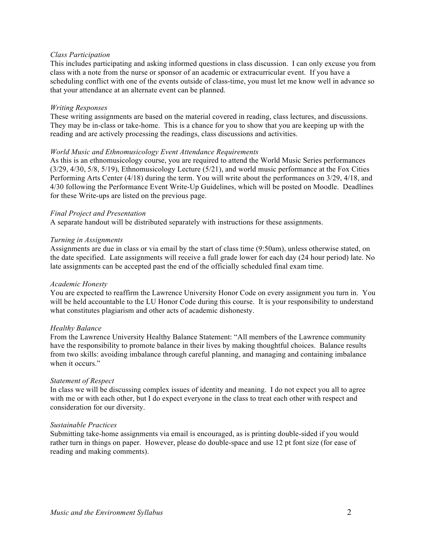### *Class Participation*

This includes participating and asking informed questions in class discussion. I can only excuse you from class with a note from the nurse or sponsor of an academic or extracurricular event. If you have a scheduling conflict with one of the events outside of class-time, you must let me know well in advance so that your attendance at an alternate event can be planned.

#### *Writing Responses*

These writing assignments are based on the material covered in reading, class lectures, and discussions. They may be in-class or take-home. This is a chance for you to show that you are keeping up with the reading and are actively processing the readings, class discussions and activities.

## *World Music and Ethnomusicology Event Attendance Requirements*

As this is an ethnomusicology course, you are required to attend the World Music Series performances (3/29, 4/30, 5/8, 5/19), Ethnomusicology Lecture (5/21), and world music performance at the Fox Cities Performing Arts Center (4/18) during the term. You will write about the performances on 3/29, 4/18, and 4/30 following the Performance Event Write-Up Guidelines, which will be posted on Moodle. Deadlines for these Write-ups are listed on the previous page.

## *Final Project and Presentation*

A separate handout will be distributed separately with instructions for these assignments.

## *Turning in Assignments*

Assignments are due in class or via email by the start of class time (9:50am), unless otherwise stated, on the date specified. Late assignments will receive a full grade lower for each day (24 hour period) late. No late assignments can be accepted past the end of the officially scheduled final exam time.

#### *Academic Honesty*

You are expected to reaffirm the Lawrence University Honor Code on every assignment you turn in. You will be held accountable to the LU Honor Code during this course. It is your responsibility to understand what constitutes plagiarism and other acts of academic dishonesty.

# *Healthy Balance*

From the Lawrence University Healthy Balance Statement: "All members of the Lawrence community have the responsibility to promote balance in their lives by making thoughtful choices. Balance results from two skills: avoiding imbalance through careful planning, and managing and containing imbalance when it occurs."

#### *Statement of Respect*

In class we will be discussing complex issues of identity and meaning. I do not expect you all to agree with me or with each other, but I do expect everyone in the class to treat each other with respect and consideration for our diversity.

#### *Sustainable Practices*

Submitting take-home assignments via email is encouraged, as is printing double-sided if you would rather turn in things on paper. However, please do double-space and use 12 pt font size (for ease of reading and making comments).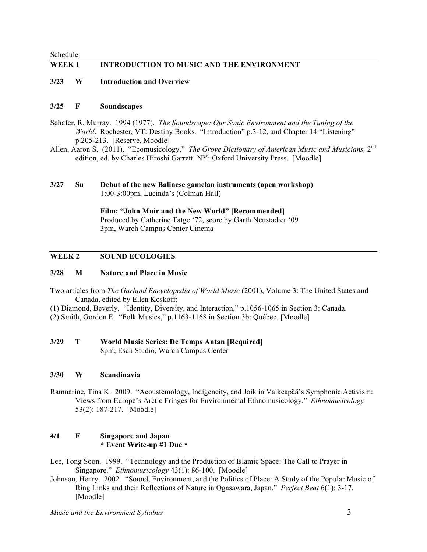Schedule **WEEK 1 INTRODUCTION TO MUSIC AND THE ENVIRONMENT**

**3/23 W Introduction and Overview**

#### **3/25 F Soundscapes**

- Schafer, R. Murray. 1994 (1977). *The Soundscape: Our Sonic Environment and the Tuning of the World.* Rochester, VT: Destiny Books. "Introduction" p.3-12, and Chapter 14 "Listening" p.205-213. [Reserve, Moodle]
- Allen, Aaron S. (2011). "Ecomusicology." *The Grove Dictionary of American Music and Musicians*, 2<sup>nd</sup> edition, ed. by Charles Hiroshi Garrett. NY: Oxford University Press. [Moodle]

## **3/27 Su Debut of the new Balinese gamelan instruments (open workshop)** 1:00-3:00pm, Lucinda's (Colman Hall)

**Film: "John Muir and the New World" [Recommended]** Produced by Catherine Tatge '72, score by Garth Neustadter '09 3pm, Warch Campus Center Cinema

## **WEEK 2 SOUND ECOLOGIES**

## **3/28 M Nature and Place in Music**

- Two articles from *The Garland Encyclopedia of World Music* (2001), Volume 3: The United States and Canada, edited by Ellen Koskoff:
- (1) Diamond, Beverly. "Identity, Diversity, and Interaction," p.1056-1065 in Section 3: Canada.
- (2) Smith, Gordon E. "Folk Musics," p.1163-1168 in Section 3b: Québec. **[**Moodle]

#### **3/29 T World Music Series: De Temps Antan [Required]** 8pm, Esch Studio, Warch Campus Center

#### **3/30 W Scandinavia**

Ramnarine, Tina K. 2009. "Acoustemology, Indigeneity, and Joik in Valkeapää's Symphonic Activism: Views from Europe's Arctic Fringes for Environmental Ethnomusicology." *Ethnomusicology* 53(2): 187-217. [Moodle]

#### **4/1 F Singapore and Japan \* Event Write-up #1 Due \***

Lee, Tong Soon. 1999. "Technology and the Production of Islamic Space: The Call to Prayer in Singapore." *Ethnomusicology* 43(1): 86-100. [Moodle]

Johnson, Henry. 2002. "Sound, Environment, and the Politics of Place: A Study of the Popular Music of Ring Links and their Reflections of Nature in Ogasawara, Japan." *Perfect Beat* 6(1): 3-17. [Moodle]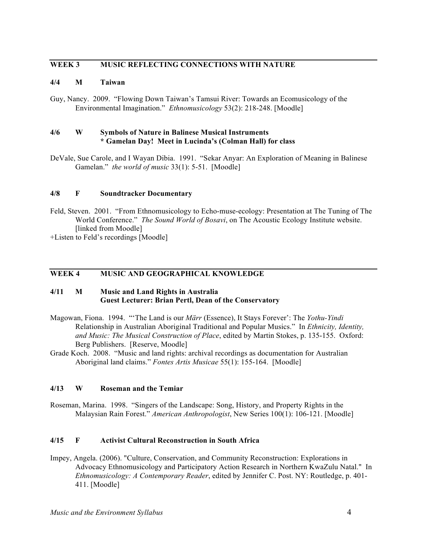# **WEEK 3 MUSIC REFLECTING CONNECTIONS WITH NATURE**

# **4/4 M Taiwan**

Guy, Nancy. 2009. "Flowing Down Taiwan's Tamsui River: Towards an Ecomusicology of the Environmental Imagination." *Ethnomusicology* 53(2): 218-248. [Moodle]

## **4/6 W Symbols of Nature in Balinese Musical Instruments \* Gamelan Day! Meet in Lucinda's (Colman Hall) for class**

DeVale, Sue Carole, and I Wayan Dibia. 1991. "Sekar Anyar: An Exploration of Meaning in Balinese Gamelan." *the world of music* 33(1): 5-51. [Moodle]

## **4/8 F Soundtracker Documentary**

Feld, Steven. 2001. "From Ethnomusicology to Echo-muse-ecology: Presentation at The Tuning of The World Conference." *The Sound World of Bosavi*, on The Acoustic Ecology Institute website. [linked from Moodle]

+Listen to Feld's recordings [Moodle]

# **WEEK 4 MUSIC AND GEOGRAPHICAL KNOWLEDGE**

# **4/11 M Music and Land Rights in Australia Guest Lecturer: Brian Pertl, Dean of the Conservatory**

- Magowan, Fiona. 1994. "'The Land is our *Märr* (Essence), It Stays Forever': The *Yothu-Yindi* Relationship in Australian Aboriginal Traditional and Popular Musics." In *Ethnicity, Identity, and Music: The Musical Construction of Place*, edited by Martin Stokes, p. 135-155. Oxford: Berg Publishers. [Reserve, Moodle]
- Grade Koch. 2008. "Music and land rights: archival recordings as documentation for Australian Aboriginal land claims." *Fontes Artis Musicae* 55(1): 155-164. [Moodle]

# **4/13 W Roseman and the Temiar**

Roseman, Marina. 1998. "Singers of the Landscape: Song, History, and Property Rights in the Malaysian Rain Forest." *American Anthropologist*, New Series 100(1): 106-121. [Moodle]

# **4/15 F Activist Cultural Reconstruction in South Africa**

Impey, Angela. (2006). "Culture, Conservation, and Community Reconstruction: Explorations in Advocacy Ethnomusicology and Participatory Action Research in Northern KwaZulu Natal." In *Ethnomusicology: A Contemporary Reader*, edited by Jennifer C. Post. NY: Routledge, p. 401- 411. [Moodle]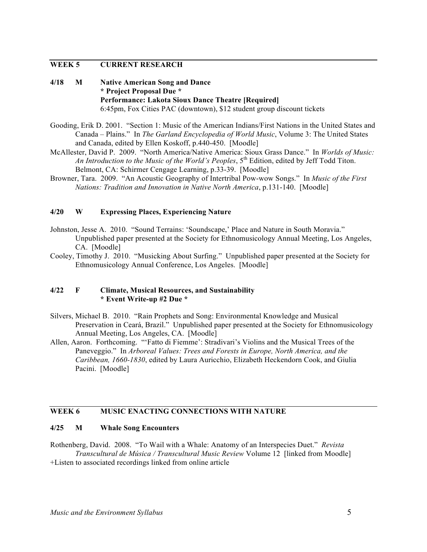# **WEEK 5 CURRENT RESEARCH**

- **4/18 M Native American Song and Dance \* Project Proposal Due \* Performance: Lakota Sioux Dance Theatre [Required]** 6:45pm, Fox Cities PAC (downtown), \$12 student group discount tickets
- Gooding, Erik D. 2001. "Section 1: Music of the American Indians/First Nations in the United States and Canada – Plains." In *The Garland Encyclopedia of World Music*, Volume 3: The United States and Canada, edited by Ellen Koskoff, p.440-450. [Moodle]
- McAllester, David P. 2009. "North America/Native America: Sioux Grass Dance." In *Worlds of Music: An Introduction to the Music of the World's Peoples*, 5<sup>th</sup> Edition, edited by Jeff Todd Titon. Belmont, CA: Schirmer Cengage Learning, p.33-39. [Moodle]
- Browner, Tara. 2009. "An Acoustic Geography of Intertribal Pow-wow Songs." In *Music of the First Nations: Tradition and Innovation in Native North America*, p.131-140. [Moodle]

# **4/20 W Expressing Places, Experiencing Nature**

- Johnston, Jesse A. 2010. "Sound Terrains: 'Soundscape,' Place and Nature in South Moravia." Unpublished paper presented at the Society for Ethnomusicology Annual Meeting, Los Angeles, CA. [Moodle]
- Cooley, Timothy J. 2010. "Musicking About Surfing." Unpublished paper presented at the Society for Ethnomusicology Annual Conference, Los Angeles. [Moodle]

#### **4/22 F Climate, Musical Resources, and Sustainability \* Event Write-up #2 Due \***

- Silvers, Michael B. 2010. "Rain Prophets and Song: Environmental Knowledge and Musical Preservation in Ceará, Brazil." Unpublished paper presented at the Society for Ethnomusicology Annual Meeting, Los Angeles, CA. [Moodle]
- Allen, Aaron. Forthcoming. "'Fatto di Fiemme': Stradivari's Violins and the Musical Trees of the Paneveggio." In *Arboreal Values: Trees and Forests in Europe, North America, and the Caribbean, 1660-1830*, edited by Laura Auricchio, Elizabeth Heckendorn Cook, and Giulia Pacini. [Moodle]

# **WEEK 6 MUSIC ENACTING CONNECTIONS WITH NATURE**

#### **4/25 M Whale Song Encounters**

Rothenberg, David. 2008. "To Wail with a Whale: Anatomy of an Interspecies Duet." *Revista Transcultural de Música / Transcultural Music Review* Volume 12 [linked from Moodle] +Listen to associated recordings linked from online article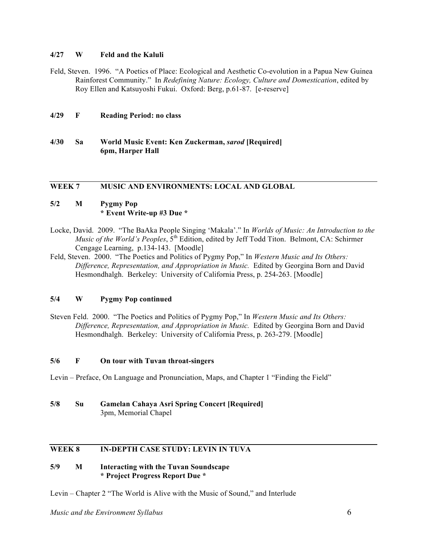## **4/27 W Feld and the Kaluli**

Feld, Steven. 1996. "A Poetics of Place: Ecological and Aesthetic Co-evolution in a Papua New Guinea Rainforest Community." In *Redefining Nature: Ecology, Culture and Domestication*, edited by Roy Ellen and Katsuyoshi Fukui. Oxford: Berg, p.61-87. [e-reserve]

#### **4/29 F Reading Period: no class**

**4/30 Sa World Music Event: Ken Zuckerman,** *sarod* **[Required] 6pm, Harper Hall**

# **WEEK 7 MUSIC AND ENVIRONMENTS: LOCAL AND GLOBAL**

# **5/2 M Pygmy Pop \* Event Write-up #3 Due \***

- Locke, David. 2009. "The BaAka People Singing 'Makala'." In *Worlds of Music: An Introduction to the Music of the World's Peoples*,  $5<sup>th</sup>$  Edition, edited by Jeff Todd Titon. Belmont, CA: Schirmer Cengage Learning, p.134-143. [Moodle]
- Feld, Steven. 2000. "The Poetics and Politics of Pygmy Pop," In *Western Music and Its Others: Difference, Representation, and Appropriation in Music.* Edited by Georgina Born and David Hesmondhalgh. Berkeley: University of California Press, p. 254-263. [Moodle]

# **5/4 W Pygmy Pop continued**

Steven Feld. 2000. "The Poetics and Politics of Pygmy Pop," In *Western Music and Its Others: Difference, Representation, and Appropriation in Music.* Edited by Georgina Born and David Hesmondhalgh. Berkeley: University of California Press, p. 263-279. [Moodle]

# **5/6 F On tour with Tuvan throat-singers**

- Levin Preface, On Language and Pronunciation, Maps, and Chapter 1 "Finding the Field"
- **5/8 Su Gamelan Cahaya Asri Spring Concert [Required]** 3pm, Memorial Chapel

# **WEEK 8 IN-DEPTH CASE STUDY: LEVIN IN TUVA**

## **5/9 M Interacting with the Tuvan Soundscape \* Project Progress Report Due \***

Levin – Chapter 2 "The World is Alive with the Music of Sound," and Interlude